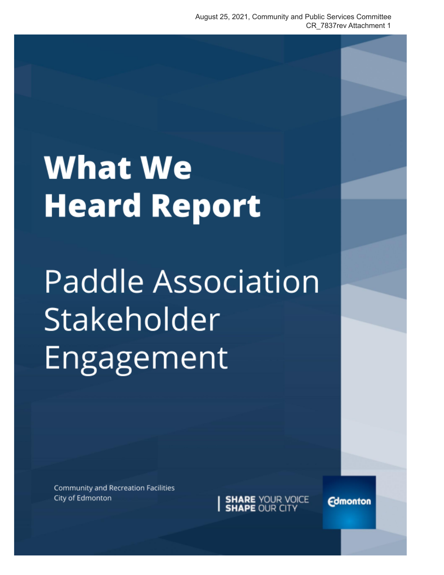## **What We Heard Report**

# **Paddle Association** Stakeholder Engagement

Community and Recreation Facilities City of Edmonton

**SHARE** YOUR VOICE<br>**SHAPE** OUR CITY

**Edmonton**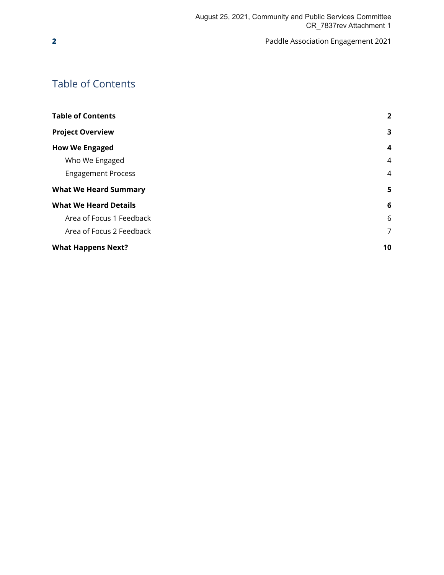## <span id="page-1-0"></span>Table of Contents

| <b>Table of Contents</b>     | $\overline{2}$ |
|------------------------------|----------------|
| <b>Project Overview</b>      | 3              |
| <b>How We Engaged</b>        | 4              |
| Who We Engaged               | 4              |
| <b>Engagement Process</b>    | 4              |
| <b>What We Heard Summary</b> | 5              |
| <b>What We Heard Details</b> | 6              |
| Area of Focus 1 Feedback     | 6              |
| Area of Focus 2 Feedback     | 7              |
| <b>What Happens Next?</b>    | 10             |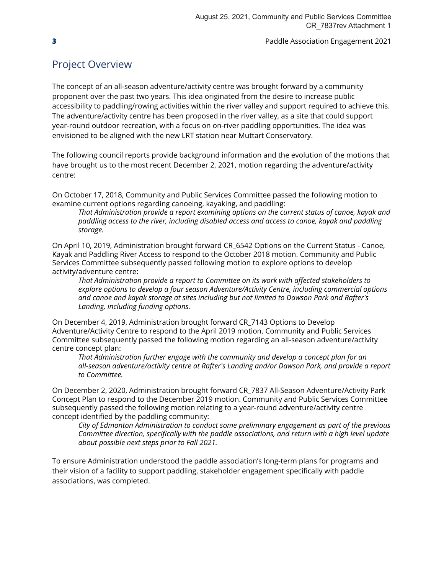## <span id="page-2-0"></span>Project Overview

The concept of an all-season adventure/activity centre was brought forward by a community proponent over the past two years. This idea originated from the desire to increase public accessibility to paddling/rowing activities within the river valley and support required to achieve this. The adventure/activity centre has been proposed in the river valley, as a site that could support year-round outdoor recreation, with a focus on on-river paddling opportunities. The idea was envisioned to be aligned with the new LRT station near Muttart Conservatory.

The following council reports provide background information and the evolution of the motions that have brought us to the most recent December 2, 2021, motion regarding the adventure/activity centre:

On October 17, 2018, Community and Public Services Committee passed the following motion to examine current options regarding canoeing, kayaking, and paddling:

*That Administration provide a report examining options on the current status of canoe, kayak and paddling access to the river, including disabled access and access to canoe, kayak and paddling storage.*

On April 10, 2019, Administration brought forward CR\_6542 Options on the Current Status - Canoe, Kayak and Paddling River Access to respond to the October 2018 motion. Community and Public Services Committee subsequently passed following motion to explore options to develop activity/adventure centre:

*That Administration provide a report to Committee on its work with affected stakeholders to explore options to develop a four season Adventure/Activity Centre, including commercial options and canoe and kayak storage at sites including but not limited to Dawson Park and Rafter's Landing, including funding options.*

On December 4, 2019, Administration brought forward CR\_7143 Options to Develop Adventure/Activity Centre to respond to the April 2019 motion. Community and Public Services Committee subsequently passed the following motion regarding an all-season adventure/activity centre concept plan:

*That Administration further engage with the community and develop a concept plan for an all-season adventure/activity centre at Rafter's Landing and/or Dawson Park, and provide a report to Committee.*

On December 2, 2020, Administration brought forward CR\_7837 All-Season Adventure/Activity Park Concept Plan to respond to the December 2019 motion. Community and Public Services Committee subsequently passed the following motion relating to a year-round adventure/activity centre concept identified by the paddling community:

*City of Edmonton Administration to conduct some preliminary engagement as part of the previous Committee direction, specifically with the paddle associations, and return with a high level update about possible next steps prior to Fall 2021.*

To ensure Administration understood the paddle association's long-term plans for programs and their vision of a facility to support paddling, stakeholder engagement specifically with paddle associations, was completed.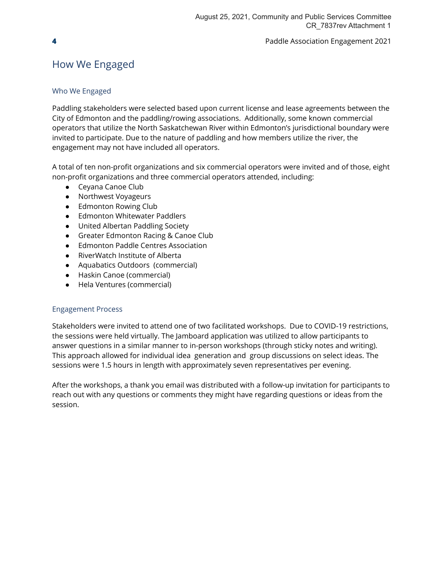## <span id="page-3-1"></span><span id="page-3-0"></span>How We Engaged

### Who We Engaged

Paddling stakeholders were selected based upon current license and lease agreements between the City of Edmonton and the paddling/rowing associations. Additionally, some known commercial operators that utilize the North Saskatchewan River within Edmonton's jurisdictional boundary were invited to participate. Due to the nature of paddling and how members utilize the river, the engagement may not have included all operators.

A total of ten non-profit organizations and six commercial operators were invited and of those, eight non-profit organizations and three commercial operators attended, including:

- Ceyana Canoe Club
- Northwest Voyageurs
- Edmonton Rowing Club
- Edmonton Whitewater Paddlers
- United Albertan Paddling Society
- Greater Edmonton Racing & Canoe Club
- Edmonton Paddle Centres Association
- RiverWatch Institute of Alberta
- Aquabatics Outdoors (commercial)
- Haskin Canoe (commercial)
- Hela Ventures (commercial)

#### <span id="page-3-2"></span>Engagement Process

Stakeholders were invited to attend one of two facilitated workshops. Due to COVID-19 restrictions, the sessions were held virtually. The Jamboard application was utilized to allow participants to answer questions in a similar manner to in-person workshops (through sticky notes and writing). This approach allowed for individual idea generation and group discussions on select ideas. The sessions were 1.5 hours in length with approximately seven representatives per evening.

After the workshops, a thank you email was distributed with a follow-up invitation for participants to reach out with any questions or comments they might have regarding questions or ideas from the session.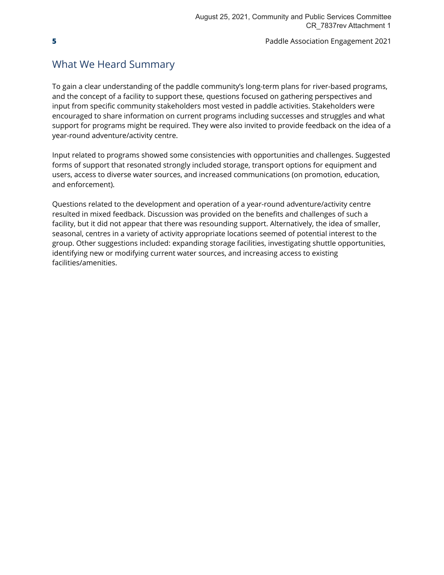## <span id="page-4-0"></span>What We Heard Summary

To gain a clear understanding of the paddle community's long-term plans for river-based programs, and the concept of a facility to support these, questions focused on gathering perspectives and input from specific community stakeholders most vested in paddle activities. Stakeholders were encouraged to share information on current programs including successes and struggles and what support for programs might be required. They were also invited to provide feedback on the idea of a year-round adventure/activity centre.

Input related to programs showed some consistencies with opportunities and challenges. Suggested forms of support that resonated strongly included storage, transport options for equipment and users, access to diverse water sources, and increased communications (on promotion, education, and enforcement).

Questions related to the development and operation of a year-round adventure/activity centre resulted in mixed feedback. Discussion was provided on the benefits and challenges of such a facility, but it did not appear that there was resounding support. Alternatively, the idea of smaller, seasonal, centres in a variety of activity appropriate locations seemed of potential interest to the group. Other suggestions included: expanding storage facilities, investigating shuttle opportunities, identifying new or modifying current water sources, and increasing access to existing facilities/amenities.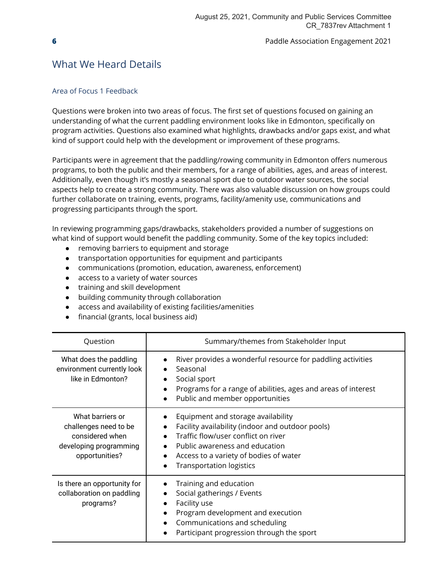## <span id="page-5-0"></span>What We Heard Details

#### <span id="page-5-1"></span>Area of Focus 1 Feedback

Questions were broken into two areas of focus. The first set of questions focused on gaining an understanding of what the current paddling environment looks like in Edmonton, specifically on program activities. Questions also examined what highlights, drawbacks and/or gaps exist, and what kind of support could help with the development or improvement of these programs.

Participants were in agreement that the paddling/rowing community in Edmonton offers numerous programs, to both the public and their members, for a range of abilities, ages, and areas of interest. Additionally, even though it's mostly a seasonal sport due to outdoor water sources, the social aspects help to create a strong community. There was also valuable discussion on how groups could further collaborate on training, events, programs, facility/amenity use, communications and progressing participants through the sport.

In reviewing programming gaps/drawbacks, stakeholders provided a number of suggestions on what kind of support would benefit the paddling community. Some of the key topics included:

- removing barriers to equipment and storage
- transportation opportunities for equipment and participants
- communications (promotion, education, awareness, enforcement)
- access to a variety of water sources
- training and skill development
- building community through collaboration
- access and availability of existing facilities/amenities
- financial (grants, local business aid)

| Question                                                                                                 | Summary/themes from Stakeholder Input                                                                                                                                                                                                        |
|----------------------------------------------------------------------------------------------------------|----------------------------------------------------------------------------------------------------------------------------------------------------------------------------------------------------------------------------------------------|
| What does the paddling<br>environment currently look<br>like in Edmonton?                                | River provides a wonderful resource for paddling activities<br>Seasonal<br>Social sport<br>Programs for a range of abilities, ages and areas of interest<br>Public and member opportunities                                                  |
| What barriers or<br>challenges need to be<br>considered when<br>developing programming<br>opportunities? | Equipment and storage availability<br>Facility availability (indoor and outdoor pools)<br>Traffic flow/user conflict on river<br>Public awareness and education<br>Access to a variety of bodies of water<br><b>Transportation logistics</b> |
| Is there an opportunity for<br>collaboration on paddling<br>programs?                                    | Training and education<br>Social gatherings / Events<br>Facility use<br>Program development and execution<br>Communications and scheduling<br>Participant progression through the sport                                                      |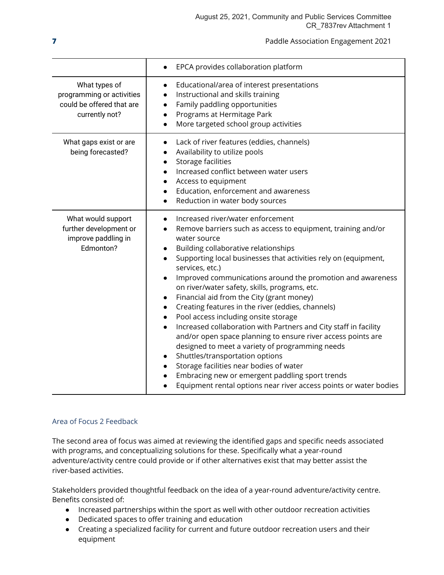|                                                                                           | EPCA provides collaboration platform<br>$\bullet$                                                                                                                                                                                                                                                                                                                                                                                                                                                                                                                                                                                                                                                                                                                                                                                                                                                                                                                                                |
|-------------------------------------------------------------------------------------------|--------------------------------------------------------------------------------------------------------------------------------------------------------------------------------------------------------------------------------------------------------------------------------------------------------------------------------------------------------------------------------------------------------------------------------------------------------------------------------------------------------------------------------------------------------------------------------------------------------------------------------------------------------------------------------------------------------------------------------------------------------------------------------------------------------------------------------------------------------------------------------------------------------------------------------------------------------------------------------------------------|
| What types of<br>programming or activities<br>could be offered that are<br>currently not? | Educational/area of interest presentations<br>$\bullet$<br>Instructional and skills training<br>$\bullet$<br>Family paddling opportunities<br>$\bullet$<br>Programs at Hermitage Park<br>$\bullet$<br>More targeted school group activities<br>$\bullet$                                                                                                                                                                                                                                                                                                                                                                                                                                                                                                                                                                                                                                                                                                                                         |
| What gaps exist or are<br>being forecasted?                                               | Lack of river features (eddies, channels)<br>$\bullet$<br>Availability to utilize pools<br>Storage facilities<br>$\bullet$<br>Increased conflict between water users<br>$\bullet$<br>Access to equipment<br>$\bullet$<br>Education, enforcement and awareness<br>Reduction in water body sources<br>$\bullet$                                                                                                                                                                                                                                                                                                                                                                                                                                                                                                                                                                                                                                                                                    |
| What would support<br>further development or<br>improve paddling in<br>Edmonton?          | Increased river/water enforcement<br>Remove barriers such as access to equipment, training and/or<br>water source<br>Building collaborative relationships<br>$\bullet$<br>Supporting local businesses that activities rely on (equipment,<br>services, etc.)<br>Improved communications around the promotion and awareness<br>$\bullet$<br>on river/water safety, skills, programs, etc.<br>Financial aid from the City (grant money)<br>$\bullet$<br>Creating features in the river (eddies, channels)<br>$\bullet$<br>Pool access including onsite storage<br>Increased collaboration with Partners and City staff in facility<br>$\bullet$<br>and/or open space planning to ensure river access points are<br>designed to meet a variety of programming needs<br>Shuttles/transportation options<br>Storage facilities near bodies of water<br>Embracing new or emergent paddling sport trends<br>$\bullet$<br>Equipment rental options near river access points or water bodies<br>$\bullet$ |

### <span id="page-6-0"></span>Area of Focus 2 Feedback

The second area of focus was aimed at reviewing the identified gaps and specific needs associated with programs, and conceptualizing solutions for these. Specifically what a year-round adventure/activity centre could provide or if other alternatives exist that may better assist the river-based activities.

Stakeholders provided thoughtful feedback on the idea of a year-round adventure/activity centre. Benefits consisted of:

- Increased partnerships within the sport as well with other outdoor recreation activities
- Dedicated spaces to offer training and education
- Creating a specialized facility for current and future outdoor recreation users and their equipment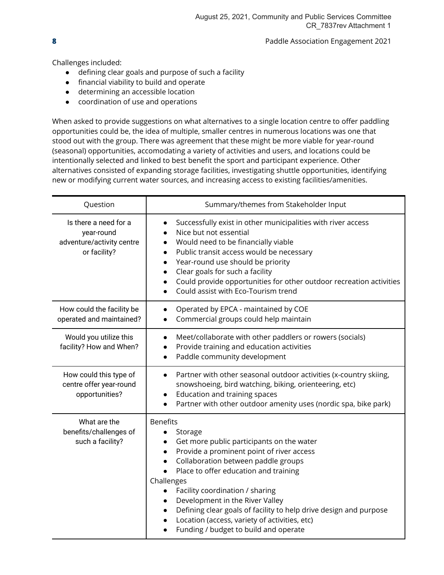Challenges included:

- defining clear goals and purpose of such a facility
- financial viability to build and operate
- determining an accessible location
- coordination of use and operations

When asked to provide suggestions on what alternatives to a single location centre to offer paddling opportunities could be, the idea of multiple, smaller centres in numerous locations was one that stood out with the group. There was agreement that these might be more viable for year-round (seasonal) opportunities, accomodating a variety of activities and users, and locations could be intentionally selected and linked to best benefit the sport and participant experience. Other alternatives consisted of expanding storage facilities, investigating shuttle opportunities, identifying new or modifying current water sources, and increasing access to existing facilities/amenities.

| Question                                                                         | Summary/themes from Stakeholder Input                                                                                                                                                                                                                                                                                                                                                                                                                                                          |
|----------------------------------------------------------------------------------|------------------------------------------------------------------------------------------------------------------------------------------------------------------------------------------------------------------------------------------------------------------------------------------------------------------------------------------------------------------------------------------------------------------------------------------------------------------------------------------------|
| Is there a need for a<br>year-round<br>adventure/activity centre<br>or facility? | Successfully exist in other municipalities with river access<br>Nice but not essential<br>Would need to be financially viable<br>$\bullet$<br>Public transit access would be necessary<br>Year-round use should be priority<br>$\bullet$<br>Clear goals for such a facility<br>Could provide opportunities for other outdoor recreation activities<br>Could assist with Eco-Tourism trend                                                                                                      |
| How could the facility be<br>operated and maintained?                            | Operated by EPCA - maintained by COE<br>Commercial groups could help maintain                                                                                                                                                                                                                                                                                                                                                                                                                  |
| Would you utilize this<br>facility? How and When?                                | Meet/collaborate with other paddlers or rowers (socials)<br>$\bullet$<br>Provide training and education activities<br>Paddle community development<br>$\bullet$                                                                                                                                                                                                                                                                                                                                |
| How could this type of<br>centre offer year-round<br>opportunities?              | Partner with other seasonal outdoor activities (x-country skiing,<br>$\bullet$<br>snowshoeing, bird watching, biking, orienteering, etc)<br>Education and training spaces<br>$\bullet$<br>Partner with other outdoor amenity uses (nordic spa, bike park)                                                                                                                                                                                                                                      |
| What are the<br>benefits/challenges of<br>such a facility?                       | <b>Benefits</b><br>Storage<br>$\bullet$<br>Get more public participants on the water<br>Provide a prominent point of river access<br>Collaboration between paddle groups<br>Place to offer education and training<br>$\bullet$<br>Challenges<br>Facility coordination / sharing<br>$\bullet$<br>Development in the River Valley<br>Defining clear goals of facility to help drive design and purpose<br>Location (access, variety of activities, etc)<br>Funding / budget to build and operate |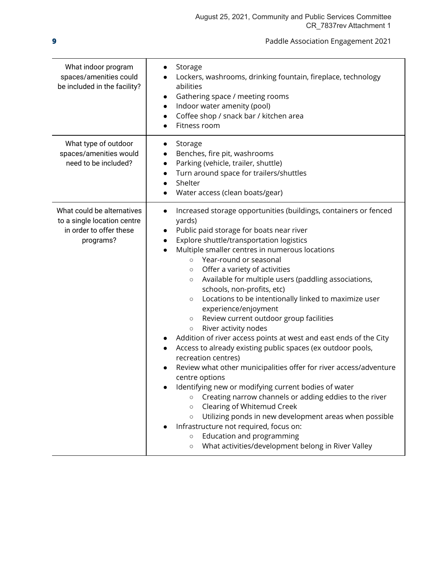| What indoor program<br>spaces/amenities could<br>be included in the facility?                     | Storage<br>Lockers, washrooms, drinking fountain, fireplace, technology<br>abilities<br>Gathering space / meeting rooms<br>Indoor water amenity (pool)<br>$\bullet$<br>Coffee shop / snack bar / kitchen area<br>$\bullet$<br>Fitness room                                                                                                                                                                                                                                                                                                                                                                                                                                                                                                                                                                                                                                                                                                                                                                                                                                                                                                                                                                                                                                         |
|---------------------------------------------------------------------------------------------------|------------------------------------------------------------------------------------------------------------------------------------------------------------------------------------------------------------------------------------------------------------------------------------------------------------------------------------------------------------------------------------------------------------------------------------------------------------------------------------------------------------------------------------------------------------------------------------------------------------------------------------------------------------------------------------------------------------------------------------------------------------------------------------------------------------------------------------------------------------------------------------------------------------------------------------------------------------------------------------------------------------------------------------------------------------------------------------------------------------------------------------------------------------------------------------------------------------------------------------------------------------------------------------|
| What type of outdoor<br>spaces/amenities would<br>need to be included?                            | Storage<br>Benches, fire pit, washrooms<br>Parking (vehicle, trailer, shuttle)<br>$\bullet$<br>Turn around space for trailers/shuttles<br>Shelter<br>$\bullet$<br>Water access (clean boats/gear)                                                                                                                                                                                                                                                                                                                                                                                                                                                                                                                                                                                                                                                                                                                                                                                                                                                                                                                                                                                                                                                                                  |
| What could be alternatives<br>to a single location centre<br>in order to offer these<br>programs? | Increased storage opportunities (buildings, containers or fenced<br>$\bullet$<br>yards)<br>Public paid storage for boats near river<br>$\bullet$<br>Explore shuttle/transportation logistics<br>$\bullet$<br>Multiple smaller centres in numerous locations<br>Year-round or seasonal<br>$\circ$<br>Offer a variety of activities<br>$\circ$<br>Available for multiple users (paddling associations,<br>$\circ$<br>schools, non-profits, etc)<br>Locations to be intentionally linked to maximize user<br>$\circ$<br>experience/enjoyment<br>Review current outdoor group facilities<br>$\circ$<br>River activity nodes<br>$\circ$<br>Addition of river access points at west and east ends of the City<br>Access to already existing public spaces (ex outdoor pools,<br>recreation centres)<br>Review what other municipalities offer for river access/adventure<br>centre options<br>Identifying new or modifying current bodies of water<br>Creating narrow channels or adding eddies to the river<br>$\circ$<br>Clearing of Whitemud Creek<br>$\circ$<br>Utilizing ponds in new development areas when possible<br>$\circ$<br>Infrastructure not required, focus on:<br>Education and programming<br>$\circ$<br>What activities/development belong in River Valley<br>$\circ$ |